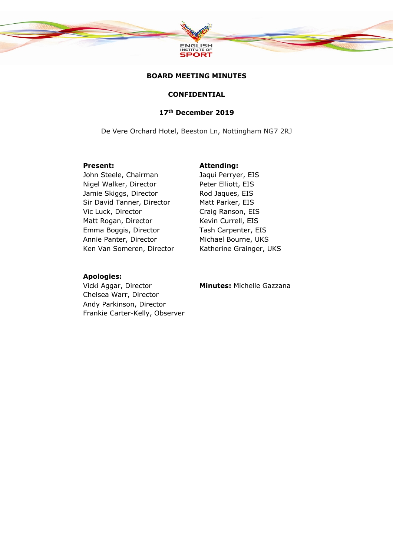

## **BOARD MEETING MINUTES**

## **CONFIDENTIAL**

# **17th December 2019**

De Vere Orchard Hotel, Beeston Ln, Nottingham NG7 2RJ

John Steele, Chairman Jaqui Perryer, EIS Nigel Walker, Director Peter Elliott, EIS Jamie Skiggs, Director Rod Jaques, EIS Sir David Tanner, Director Matt Parker, EIS Vic Luck, Director Craig Ranson, EIS Matt Rogan, Director Kevin Currell, EIS Emma Boggis, Director Annie Panter, Director Ken Van Someren, Director

#### **Present: Attending:**

Tash Carpenter, EIS Michael Bourne, UKS Katherine Grainger, UKS

#### **Apologies:**

Vicki Aggar, Director Chelsea Warr, Director Andy Parkinson, Director Frankie Carter-Kelly, Observer **Minutes:** Michelle Gazzana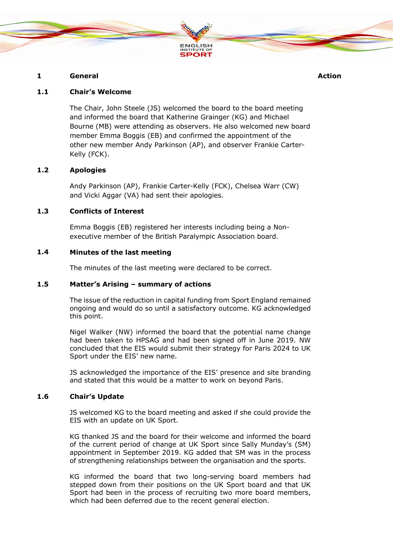

## **1 General Action**

## **1.1 Chair's Welcome**

The Chair, John Steele (JS) welcomed the board to the board meeting and informed the board that Katherine Grainger (KG) and Michael Bourne (MB) were attending as observers. He also welcomed new board member Emma Boggis (EB) and confirmed the appointment of the other new member Andy Parkinson (AP), and observer Frankie Carter-Kelly (FCK).

# **1.2 Apologies**

Andy Parkinson (AP), Frankie Carter-Kelly (FCK), Chelsea Warr (CW) and Vicki Aggar (VA) had sent their apologies.

# **1.3 Conflicts of Interest**

Emma Boggis (EB) registered her interests including being a Nonexecutive member of the British Paralympic Association board.

#### **1.4 Minutes of the last meeting**

The minutes of the last meeting were declared to be correct.

#### **1.5 Matter's Arising – summary of actions**

The issue of the reduction in capital funding from Sport England remained ongoing and would do so until a satisfactory outcome. KG acknowledged this point.

Nigel Walker (NW) informed the board that the potential name change had been taken to HPSAG and had been signed off in June 2019. NW concluded that the EIS would submit their strategy for Paris 2024 to UK Sport under the EIS' new name.

JS acknowledged the importance of the EIS' presence and site branding and stated that this would be a matter to work on beyond Paris.

#### **1.6 Chair's Update**

JS welcomed KG to the board meeting and asked if she could provide the EIS with an update on UK Sport.

KG thanked JS and the board for their welcome and informed the board of the current period of change at UK Sport since Sally Munday's (SM) appointment in September 2019. KG added that SM was in the process of strengthening relationships between the organisation and the sports.

KG informed the board that two long-serving board members had stepped down from their positions on the UK Sport board and that UK Sport had been in the process of recruiting two more board members, which had been deferred due to the recent general election.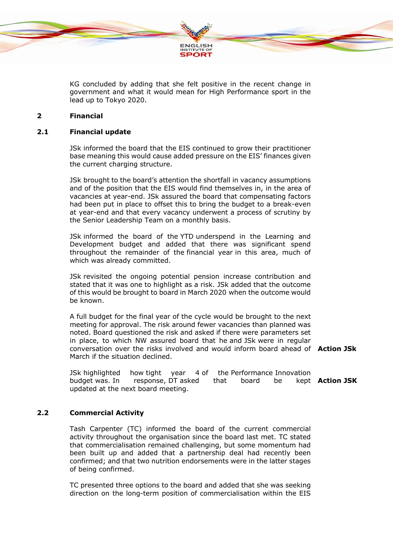

KG concluded by adding that she felt positive in the recent change in government and what it would mean for High Performance sport in the lead up to Tokyo 2020.

#### **2 Financial**

#### **2.1 Financial update**

JSk informed the board that the EIS continued to grow their practitioner base meaning this would cause added pressure on the EIS' finances given the current charging structure.

JSk brought to the board's attention the shortfall in vacancy assumptions and of the position that the EIS would find themselves in, in the area of vacancies at year-end. JSk assured the board that compensating factors had been put in place to offset this to bring the budget to a break-even at year-end and that every vacancy underwent a process of scrutiny by the Senior Leadership Team on a monthly basis.

JSk informed the board of the YTD underspend in the Learning and Development budget and added that there was significant spend throughout the remainder of the financial year in this area, much of which was already committed.

JSk revisited the ongoing potential pension increase contribution and stated that it was one to highlight as a risk. JSk added that the outcome of this would be brought to board in March 2020 when the outcome would be known.

A full budget for the final year of the cycle would be brought to the next meeting for approval. The risk around fewer vacancies than planned was noted. Board questioned the risk and asked if there were parameters set in place, to which NW assured board that he and JSk were in regular conversation over the risks involved and would inform board ahead of **Action JSk** March if the situation declined.

JSk highlighted how tight year 4 of the Performance Innovation budget was. In response, DT asked that board be updated at the next board meeting. **Action JSK**

## **2.2 Commercial Activity**

Tash Carpenter (TC) informed the board of the current commercial activity throughout the organisation since the board last met. TC stated that commercialisation remained challenging, but some momentum had been built up and added that a partnership deal had recently been confirmed; and that two nutrition endorsements were in the latter stages of being confirmed.

TC presented three options to the board and added that she was seeking direction on the long-term position of commercialisation within the EIS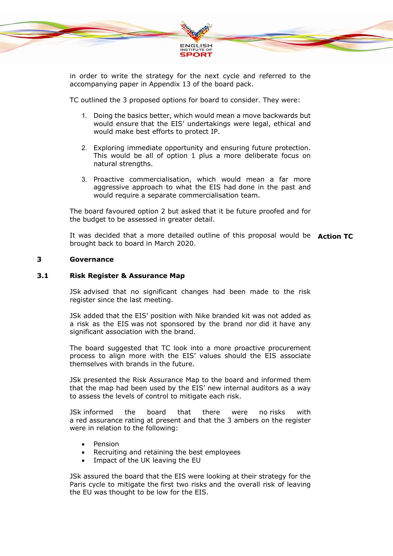

in order to write the strategy for the next cycle and referred to the accompanying paper in Appendix 13 of the board pack.

TC outlined the 3 proposed options for board to consider. They were:

- 1. Doing the basics better, which would mean a move backwards but would ensure that the EIS' undertakings were legal, ethical and would make best efforts to protect IP.
- 2. Exploring immediate opportunity and ensuring future protection. This would be all of option 1 plus a more deliberate focus on natural strengths.
- 3. Proactive commercialisation, which would mean a far more aggressive approach to what the EIS had done in the past and would require a separate commercialisation team.

The board favoured option 2 but asked that it be future proofed and for the budget to be assessed in greater detail.

It was decided that a more detailed outline of this proposal would be **Action TC** brought back to board in March 2020.

# **3 Governance**

#### **3.1 Risk Register & Assurance Map**

JSk advised that no significant changes had been made to the risk register since the last meeting.

JSk added that the EIS' position with Nike branded kit was not added as a risk as the EIS was not sponsored by the brand nor did it have any significant association with the brand.

The board suggested that TC look into a more proactive procurement process to align more with the EIS' values should the EIS associate themselves with brands in the future.

JSk presented the Risk Assurance Map to the board and informed them that the map had been used by the EIS' new internal auditors as a way to assess the levels of control to mitigate each risk.

JSk informed the board that there were no risks with a red assurance rating at present and that the 3 ambers on the register were in relation to the following:

- Pension
- Recruiting and retaining the best employees
- Impact of the UK leaving the EU

JSk assured the board that the EIS were looking at their strategy for the Paris cycle to mitigate the first two risks and the overall risk of leaving the EU was thought to be low for the EIS.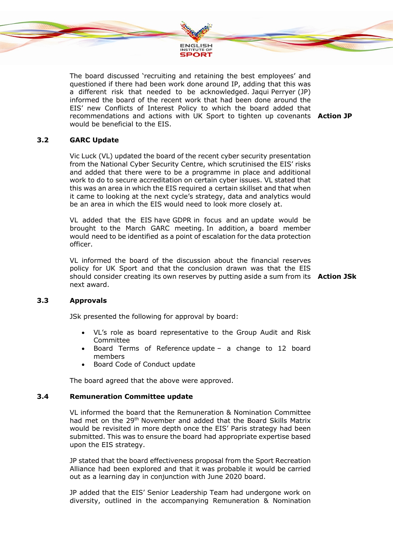

The board discussed 'recruiting and retaining the best employees' and questioned if there had been work done around IP, adding that this was a different risk that needed to be acknowledged. Jaqui Perryer (JP) informed the board of the recent work that had been done around the EIS' new Conflicts of Interest Policy to which the board added that recommendations and actions with UK Sport to tighten up covenants **Action JP** would be beneficial to the EIS.

## **3.2 GARC Update**

Vic Luck (VL) updated the board of the recent cyber security presentation from the National Cyber Security Centre, which scrutinised the EIS' risks and added that there were to be a programme in place and additional work to do to secure accreditation on certain cyber issues. VL stated that this was an area in which the EIS required a certain skillset and that when it came to looking at the next cycle's strategy, data and analytics would be an area in which the EIS would need to look more closely at.

VL added that the EIS have GDPR in focus and an update would be brought to the March GARC meeting. In addition, a board member would need to be identified as a point of escalation for the data protection officer.

VL informed the board of the discussion about the financial reserves policy for UK Sport and that the conclusion drawn was that the EIS should consider creating its own reserves by putting aside a sum from its **Action JSk** next award.

## **3.3 Approvals**

JSk presented the following for approval by board:

- VL's role as board representative to the Group Audit and Risk **Committee**
- Board Terms of Reference update a change to 12 board members
- Board Code of Conduct update

The board agreed that the above were approved.

#### **3.4 Remuneration Committee update**

VL informed the board that the Remuneration & Nomination Committee had met on the 29th November and added that the Board Skills Matrix would be revisited in more depth once the EIS' Paris strategy had been submitted. This was to ensure the board had appropriate expertise based upon the EIS strategy.

JP stated that the board effectiveness proposal from the Sport Recreation Alliance had been explored and that it was probable it would be carried out as a learning day in conjunction with June 2020 board.

JP added that the EIS' Senior Leadership Team had undergone work on diversity, outlined in the accompanying Remuneration & Nomination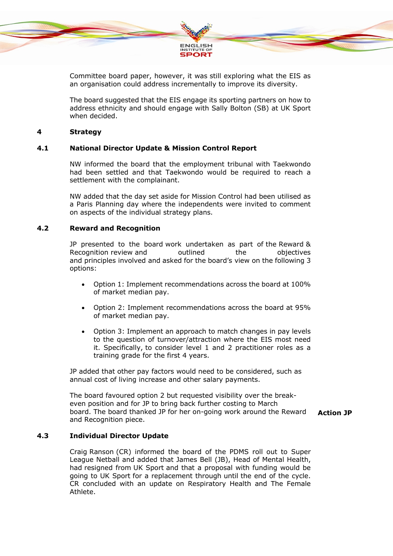

Committee board paper, however, it was still exploring what the EIS as an organisation could address incrementally to improve its diversity.

The board suggested that the EIS engage its sporting partners on how to address ethnicity and should engage with Sally Bolton (SB) at UK Sport when decided.

#### **4 Strategy**

# **4.1 National Director Update & Mission Control Report**

NW informed the board that the employment tribunal with Taekwondo had been settled and that Taekwondo would be required to reach a settlement with the complainant.

NW added that the day set aside for Mission Control had been utilised as a Paris Planning day where the independents were invited to comment on aspects of the individual strategy plans.

#### **4.2 Reward and Recognition**

JP presented to the board work undertaken as part of the Reward & Recognition review and outlined the objectives and principles involved and asked for the board's view on the following 3 options:

- Option 1: Implement recommendations across the board at 100% of market median pay.
- Option 2: Implement recommendations across the board at 95% of market median pay.
- Option 3: Implement an approach to match changes in pay levels to the question of turnover/attraction where the EIS most need it. Specifically, to consider level 1 and 2 practitioner roles as a training grade for the first 4 years.

JP added that other pay factors would need to be considered, such as annual cost of living increase and other salary payments.

The board favoured option 2 but requested visibility over the breakeven position and for JP to bring back further costing to March board. The board thanked JP for her on-going work around the Reward and Recognition piece.

**Action JP**

## **4.3 Individual Director Update**

Craig Ranson (CR) informed the board of the PDMS roll out to Super League Netball and added that James Bell (JB), Head of Mental Health, had resigned from UK Sport and that a proposal with funding would be going to UK Sport for a replacement through until the end of the cycle. CR concluded with an update on Respiratory Health and The Female Athlete.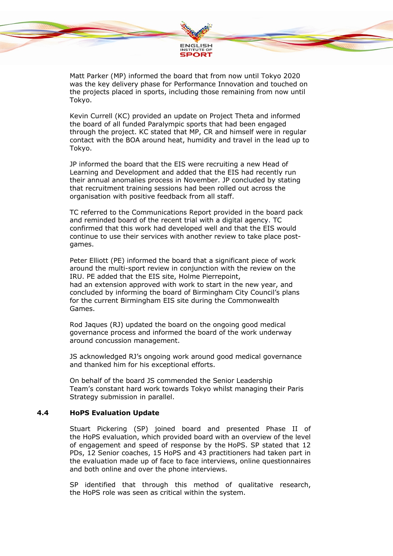

Matt Parker (MP) informed the board that from now until Tokyo 2020 was the key delivery phase for Performance Innovation and touched on the projects placed in sports, including those remaining from now until Tokyo.

Kevin Currell (KC) provided an update on Project Theta and informed the board of all funded Paralympic sports that had been engaged through the project. KC stated that MP, CR and himself were in regular contact with the BOA around heat, humidity and travel in the lead up to Tokyo.

JP informed the board that the EIS were recruiting a new Head of Learning and Development and added that the EIS had recently run their annual anomalies process in November. JP concluded by stating that recruitment training sessions had been rolled out across the organisation with positive feedback from all staff.

TC referred to the Communications Report provided in the board pack and reminded board of the recent trial with a digital agency. TC confirmed that this work had developed well and that the EIS would continue to use their services with another review to take place postgames.

Peter Elliott (PE) informed the board that a significant piece of work around the multi-sport review in conjunction with the review on the IRU. PE added that the EIS site, Holme Pierrepoint, had an extension approved with work to start in the new year, and concluded by informing the board of Birmingham City Council's plans for the current Birmingham EIS site during the Commonwealth Games.

Rod Jaques (RJ) updated the board on the ongoing good medical governance process and informed the board of the work underway around concussion management.

JS acknowledged RJ's ongoing work around good medical governance and thanked him for his exceptional efforts.

On behalf of the board JS commended the Senior Leadership Team's constant hard work towards Tokyo whilst managing their Paris Strategy submission in parallel.

## **4.4 HoPS Evaluation Update**

Stuart Pickering (SP) joined board and presented Phase II of the HoPS evaluation, which provided board with an overview of the level of engagement and speed of response by the HoPS. SP stated that 12 PDs, 12 Senior coaches, 15 HoPS and 43 practitioners had taken part in the evaluation made up of face to face interviews, online questionnaires and both online and over the phone interviews.

SP identified that through this method of qualitative research, the HoPS role was seen as critical within the system.